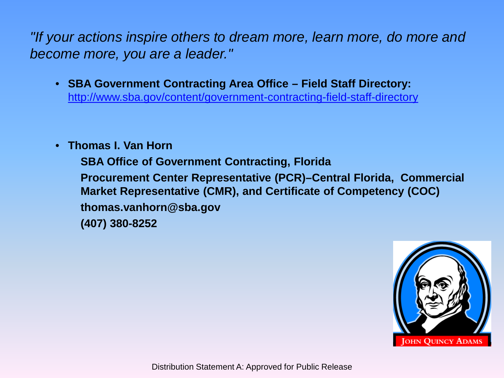*"If your actions inspire others to dream more, learn more, do more and become more, you are a leader."*

- **SBA Government Contracting Area Office – Field Staff Directory:**  <http://www.sba.gov/content/government-contracting-field-staff-directory>
- **Thomas I. Van Horn**

**SBA Office of Government Contracting, Florida Procurement Center Representative (PCR)–Central Florida, Commercial Market Representative (CMR), and Certificate of Competency (COC) thomas.vanhorn@sba.gov (407) 380-8252**



Distribution Statement A: Approved for Public Release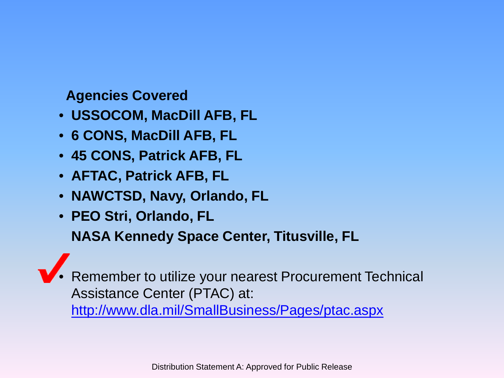## **Agencies Covered**

- **USSOCOM, MacDill AFB, FL**
- **6 CONS, MacDill AFB, FL**
- **45 CONS, Patrick AFB, FL**
- **AFTAC, Patrick AFB, FL**
- **NAWCTSD, Navy, Orlando, FL**
- **PEO Stri, Orlando, FL**

**NASA Kennedy Space Center, Titusville, FL**

• Remember to utilize your nearest Procurement Technical Assistance Center (PTAC) at: <http://www.dla.mil/SmallBusiness/Pages/ptac.aspx>